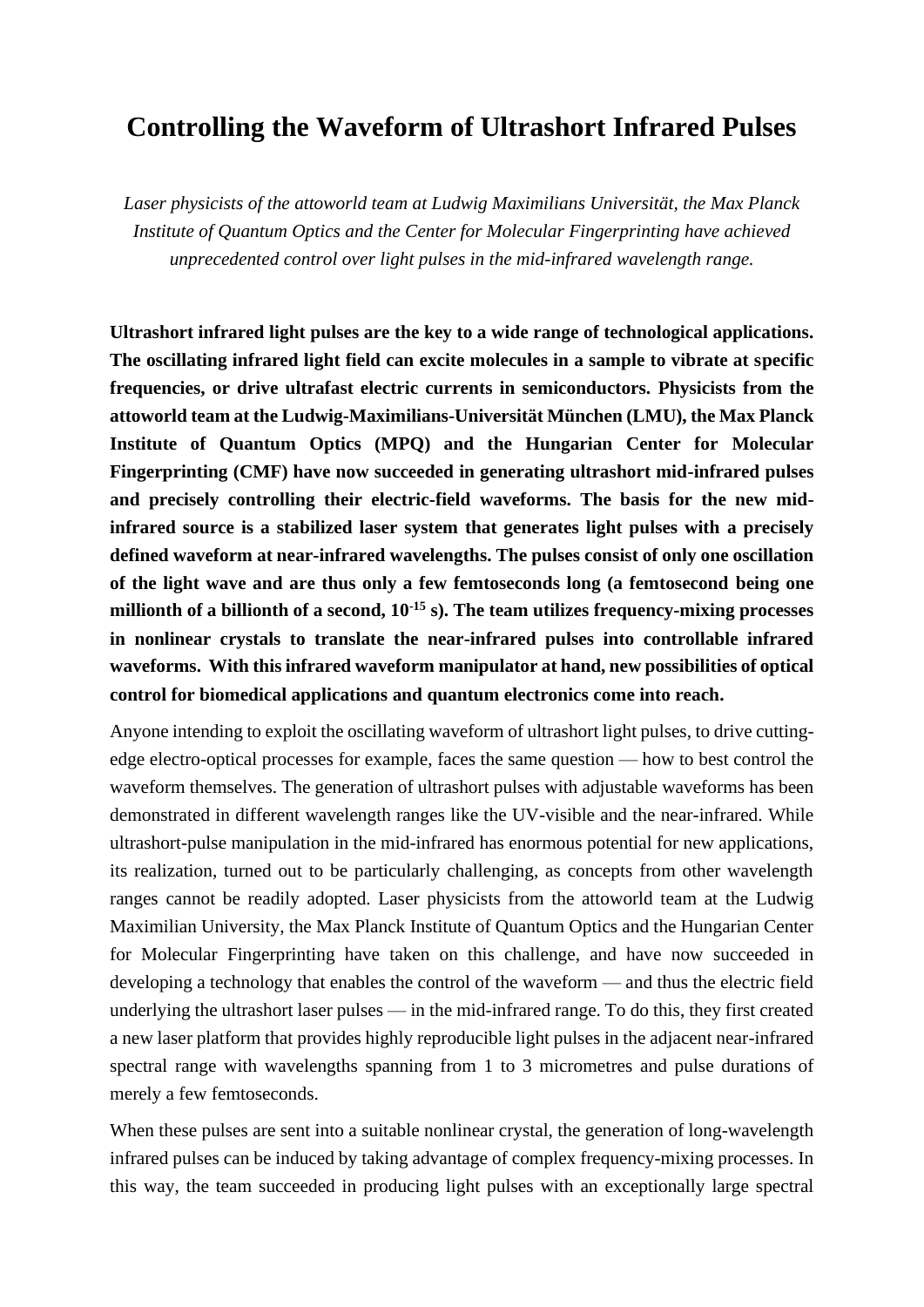# **Controlling the Waveform of Ultrashort Infrared Pulses**

*Laser physicists of the attoworld team at Ludwig Maximilians Universität, the Max Planck Institute of Quantum Optics and the Center for Molecular Fingerprinting have achieved unprecedented control over light pulses in the mid-infrared wavelength range.*

**Ultrashort infrared light pulses are the key to a wide range of technological applications. The oscillating infrared light field can excite molecules in a sample to vibrate at specific frequencies, or drive ultrafast electric currents in semiconductors. Physicists from the attoworld team at the Ludwig-Maximilians-Universität München (LMU), the Max Planck Institute of Quantum Optics (MPQ) and the Hungarian Center for Molecular Fingerprinting (CMF) have now succeeded in generating ultrashort mid-infrared pulses and precisely controlling their electric-field waveforms. The basis for the new midinfrared source is a stabilized laser system that generates light pulses with a precisely defined waveform at near-infrared wavelengths. The pulses consist of only one oscillation of the light wave and are thus only a few femtoseconds long (a femtosecond being one millionth of a billionth of a second, 10-15 s). The team utilizes frequency-mixing processes in nonlinear crystals to translate the near-infrared pulses into controllable infrared waveforms. With this infrared waveform manipulator at hand, new possibilities of optical control for biomedical applications and quantum electronics come into reach.**

Anyone intending to exploit the oscillating waveform of ultrashort light pulses, to drive cuttingedge electro-optical processes for example, faces the same question — how to best control the waveform themselves. The generation of ultrashort pulses with adjustable waveforms has been demonstrated in different wavelength ranges like the UV-visible and the near-infrared. While ultrashort-pulse manipulation in the mid-infrared has enormous potential for new applications, its realization, turned out to be particularly challenging, as concepts from other wavelength ranges cannot be readily adopted. Laser physicists from the attoworld team at the Ludwig Maximilian University, the Max Planck Institute of Quantum Optics and the Hungarian Center for Molecular Fingerprinting have taken on this challenge, and have now succeeded in developing a technology that enables the control of the waveform — and thus the electric field underlying the ultrashort laser pulses — in the mid-infrared range. To do this, they first created a new laser platform that provides highly reproducible light pulses in the adjacent near-infrared spectral range with wavelengths spanning from 1 to 3 micrometres and pulse durations of merely a few femtoseconds.

When these pulses are sent into a suitable nonlinear crystal, the generation of long-wavelength infrared pulses can be induced by taking advantage of complex frequency-mixing processes. In this way, the team succeeded in producing light pulses with an exceptionally large spectral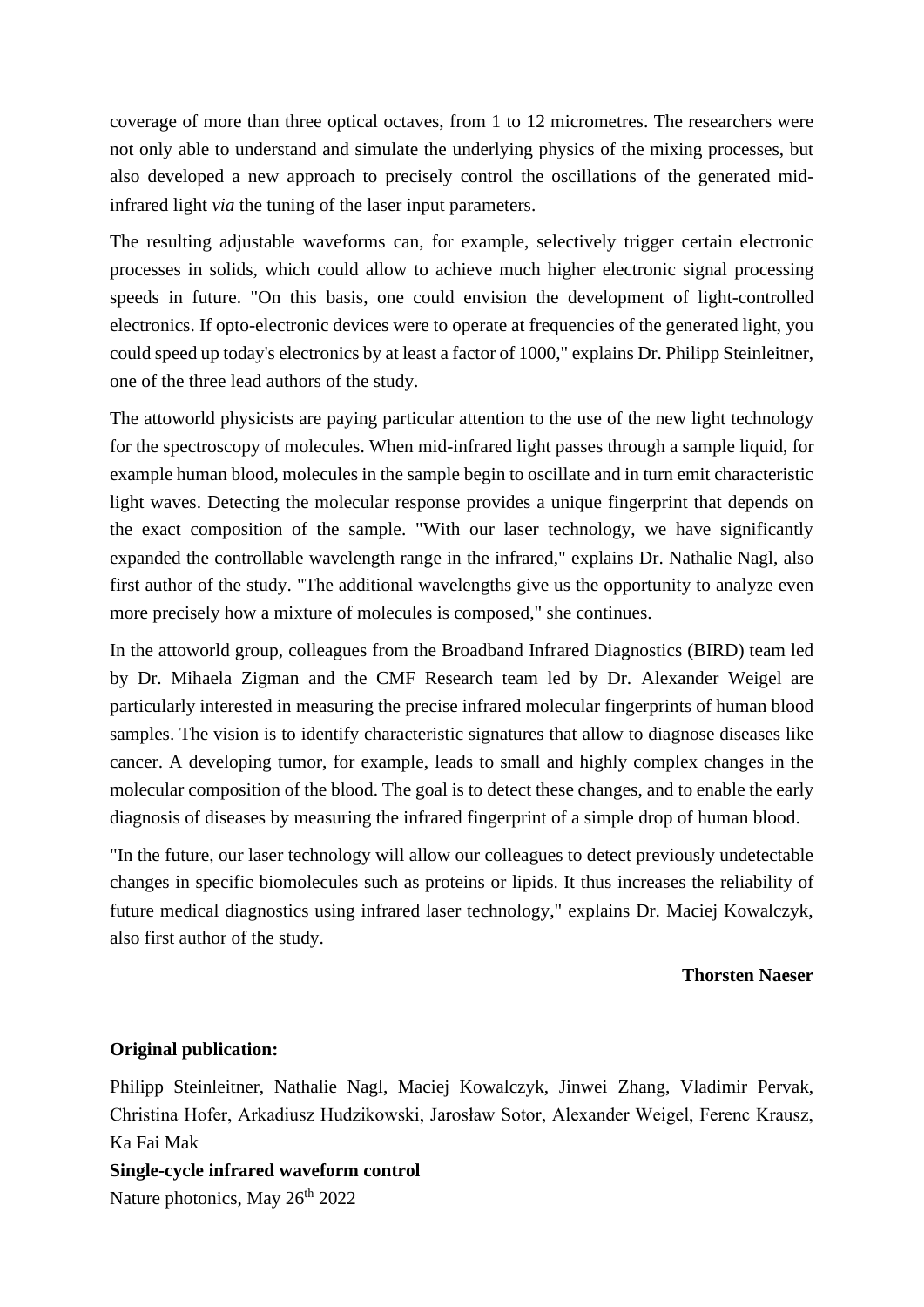coverage of more than three optical octaves, from 1 to 12 micrometres. The researchers were not only able to understand and simulate the underlying physics of the mixing processes, but also developed a new approach to precisely control the oscillations of the generated midinfrared light *via* the tuning of the laser input parameters.

The resulting adjustable waveforms can, for example, selectively trigger certain electronic processes in solids, which could allow to achieve much higher electronic signal processing speeds in future. "On this basis, one could envision the development of light-controlled electronics. If opto-electronic devices were to operate at frequencies of the generated light, you could speed up today's electronics by at least a factor of 1000," explains Dr. Philipp Steinleitner, one of the three lead authors of the study.

The attoworld physicists are paying particular attention to the use of the new light technology for the spectroscopy of molecules. When mid-infrared light passes through a sample liquid, for example human blood, molecules in the sample begin to oscillate and in turn emit characteristic light waves. Detecting the molecular response provides a unique fingerprint that depends on the exact composition of the sample. "With our laser technology, we have significantly expanded the controllable wavelength range in the infrared," explains Dr. Nathalie Nagl, also first author of the study. "The additional wavelengths give us the opportunity to analyze even more precisely how a mixture of molecules is composed," she continues.

In the attoworld group, colleagues from the Broadband Infrared Diagnostics (BIRD) team led by Dr. Mihaela Zigman and the CMF Research team led by Dr. Alexander Weigel are particularly interested in measuring the precise infrared molecular fingerprints of human blood samples. The vision is to identify characteristic signatures that allow to diagnose diseases like cancer. A developing tumor, for example, leads to small and highly complex changes in the molecular composition of the blood. The goal is to detect these changes, and to enable the early diagnosis of diseases by measuring the infrared fingerprint of a simple drop of human blood.

"In the future, our laser technology will allow our colleagues to detect previously undetectable changes in specific biomolecules such as proteins or lipids. It thus increases the reliability of future medical diagnostics using infrared laser technology," explains Dr. Maciej Kowalczyk, also first author of the study.

#### **Thorsten Naeser**

### **Original publication:**

Philipp Steinleitner, Nathalie Nagl, Maciej Kowalczyk, Jinwei Zhang, Vladimir Pervak, Christina Hofer, Arkadiusz Hudzikowski, Jarosław Sotor, Alexander Weigel, Ferenc Krausz, Ka Fai Mak

**Single-cycle infrared waveform control** Nature photonics, May 26<sup>th</sup> 2022